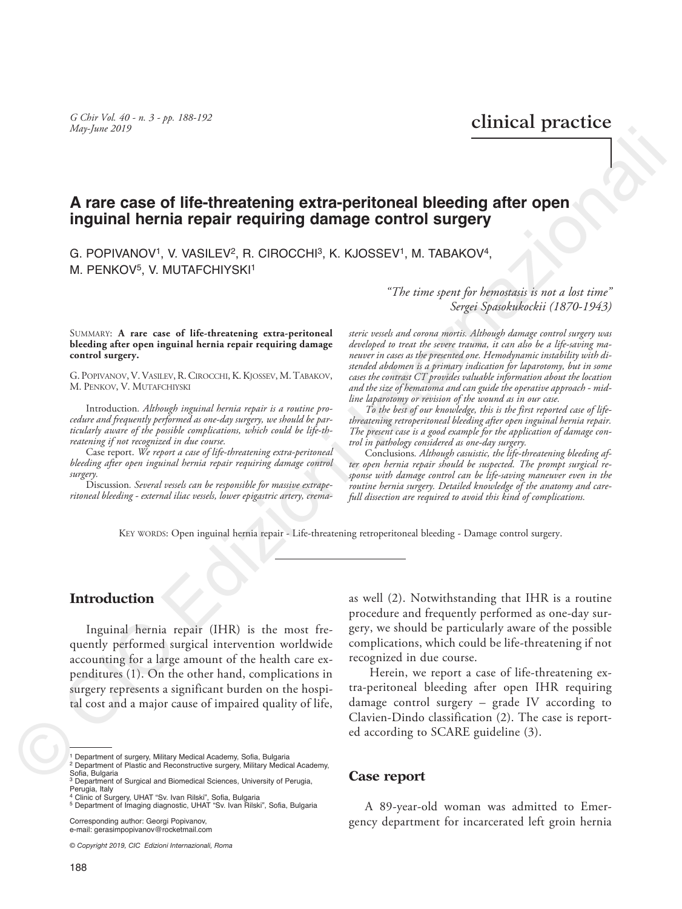*G Chir Vol. 40 - n. 3 - pp. 188-192 G* Chir Vol. 40 - n. 3 - pp. 188-192 **clinical practice** 

# **A rare case of life-threatening extra-peritoneal bleeding after open inguinal hernia repair requiring damage control surgery**

G. POPIVANOV<sup>1</sup>, V. VASILEV<sup>2</sup>, R. CIROCCHI<sup>3</sup>, K. KJOSSEV<sup>1</sup>, M. TABAKOV<sup>4</sup>, M. PENKOV<sup>5</sup>, V. MUTAFCHIYSKI<sup>1</sup>

#### SUMMARY: **A rare case of life-threatening extra-peritoneal bleeding after open inguinal hernia repair requiring damage control surgery.**

G. POPIVANOV, V. VASILEV, R. CIROCCHI, K. KJOSSEV, M. TABAKOV, M. PENKOV, V. MUTAFCHIYSKI

Introduction*. Although inguinal hernia repair is a routine procedure and frequently performed as one-day surgery, we should be particularly aware of the possible complications, which could be life-threatening if not recognized in due course.*

Case report. *We report a case of life-threatening extra-peritoneal bleeding after open inguinal hernia repair requiring damage control surgery.*

Discussion*. Several vessels can be responsible for massive extraperitoneal bleeding - external iliac vessels, lower epigastric artery, crema-* *"The time spent for hemostasis is not a lost time" Sergei Spasokukockii (1870-1943)*

*steric vessels and corona mortis. Although damage control surgery was developed to treat the severe trauma, it can also be a life-saving maneuver in cases as the presented one. Hemodynamic instability with distended abdomen is a primary indication for laparotomy, but in some cases the contrast CT provides valuable information about the location and the size of hematoma and can guide the operative approach - midline laparotomy or revision of the wound as in our case.*

*To the best of our knowledge, this is the first reported case of lifethreatening retroperitoneal bleeding after open inguinal hernia repair. The present case is a good example for the application of damage control in pathology considered as one-day surgery.*

Conclusions*. Although casuistic, the life-threatening bleeding after open hernia repair should be suspected. The prompt surgical response with damage control can be life-saving maneuver even in the routine hernia surgery. Detailed knowledge of the anatomy and carefull dissection are required to avoid this kind of complications.*

KEY WORDS: Open inguinal hernia repair - Life-threatening retroperitoneal bleeding - Damage control surgery.

### **Introduction**

Inguinal hernia repair (IHR) is the most frequently performed surgical intervention worldwide accounting for a large amount of the health care expenditures (1). On the other hand, complications in surgery represents a significant burden on the hospital cost and a major cause of impaired quality of life, Arian Cost of Hite-threatening extra-peritoneal bleeding after open<br>
inguinal hernia repair requiring damage control surgery<br>
C. POPWANOV, V. WASLEV, R. GIROGOHP, R. KOSSEV!, M. TABAKOV,<br>
M. PENKOV, V. MUTATCHYSK!<br>
M. PEN

Corresponding author: Georgi Popivanov, e-mail: gerasimpopivanov@rocketmail.com

*© Copyright 2019, CIC Edizioni Internazionali, Roma*

as well (2). Notwithstanding that IHR is a routine procedure and frequently performed as one-day surgery, we should be particularly aware of the possible complications, which could be life-threatening if not recognized in due course.

 Herein, we report a case of life-threatening extra-peritoneal bleeding after open IHR requiring damage control surgery – grade IV according to Clavien-Dindo classification (2). The case is reported according to SCARE guideline (3).

#### **Case report**

A 89-year-old woman was admitted to Emergency department for incarcerated left groin hernia

<sup>1</sup> Department of surgery, Military Medical Academy, Sofia, Bulgaria

<sup>2</sup> Department of Plastic and Reconstructive surgery, Military Medical Academy, Sofia, Bulgaria

<sup>&</sup>lt;sup>3</sup> Department of Surgical and Biomedical Sciences, University of Perugia, Perugia, Italy<br><sup>4</sup> Clinic of Surgery, UHAT "Sv. Ivan Rilski", Sofia, Bulgaria

<sup>5</sup> Department of Imaging diagnostic, UHAT "Sv. Ivan Rilski", Sofia, Bulgaria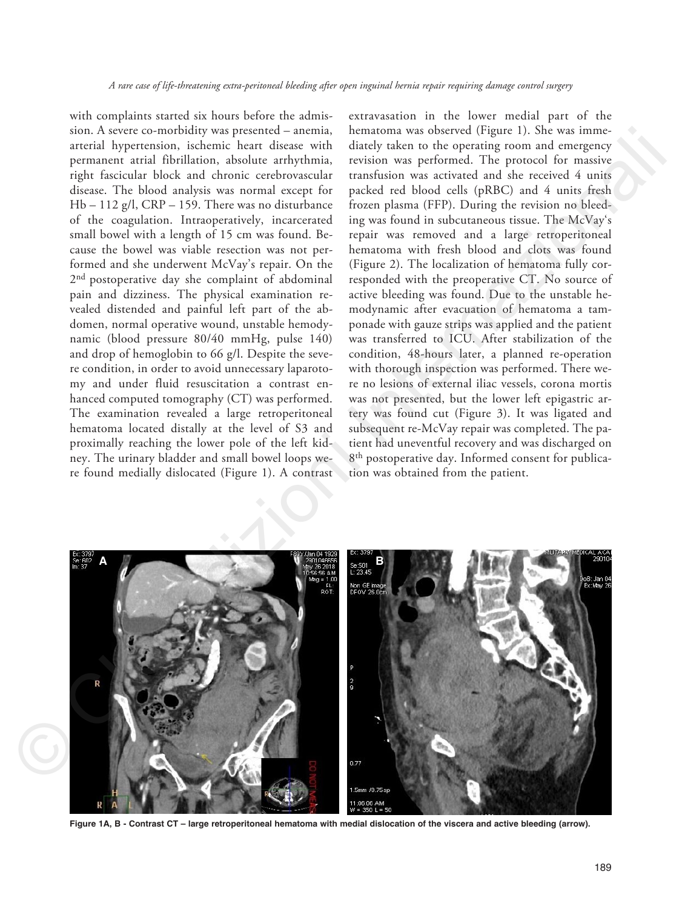with complaints started six hours before the admission. A severe co-morbidity was presented – anemia, arterial hypertension, ischemic heart disease with permanent atrial fibrillation, absolute arrhythmia, right fascicular block and chronic cerebrovascular disease. The blood analysis was normal except for Hb – 112 g/l, CRP – 159. There was no disturbance of the coagulation. Intraoperatively, incarcerated small bowel with a length of 15 cm was found. Because the bowel was viable resection was not performed and she underwent McVay's repair. On the 2<sup>nd</sup> postoperative day she complaint of abdominal pain and dizziness. The physical examination revealed distended and painful left part of the abdomen, normal operative wound, unstable hemodynamic (blood pressure 80/40 mmHg, pulse 140) and drop of hemoglobin to 66 g/l. Despite the severe condition, in order to avoid unnecessary laparotomy and under fluid resuscitation a contrast enhanced computed tomography (CT) was performed. The examination revealed a large retroperitoneal hematoma located distally at the level of S3 and proximally reaching the lower pole of the left kidney. The urinary bladder and small bowel loops were found medially dislocated (Figure 1). A contrast

extravasation in the lower medial part of the hematoma was observed (Figure 1). She was immediately taken to the operating room and emergency revision was performed. The protocol for massive transfusion was activated and she received 4 units packed red blood cells (pRBC) and 4 units fresh frozen plasma (FFP). During the revision no bleeding was found in subcutaneous tissue. The McVay's repair was removed and a large retroperitoneal hematoma with fresh blood and clots was found (Figure 2). The localization of hematoma fully corresponded with the preoperative CT. No source of active bleeding was found. Due to the unstable hemodynamic after evacuation of hematoma a tamponade with gauze strips was applied and the patient was transferred to ICU. After stabilization of the condition, 48-hours later, a planned re-operation with thorough inspection was performed. There were no lesions of external iliac vessels, corona mortis was not presented, but the lower left epigastric artery was found cut (Figure 3). It was ligated and subsequent re-McVay repair was completed. The patient had uneventful recovery and was discharged on 8<sup>th</sup> postoperative day. Informed consent for publication was obtained from the patient.



**Figure 1A, B - Contrast CT – large retroperitoneal hematoma with medial dislocation of the viscera and active bleeding (arrow).**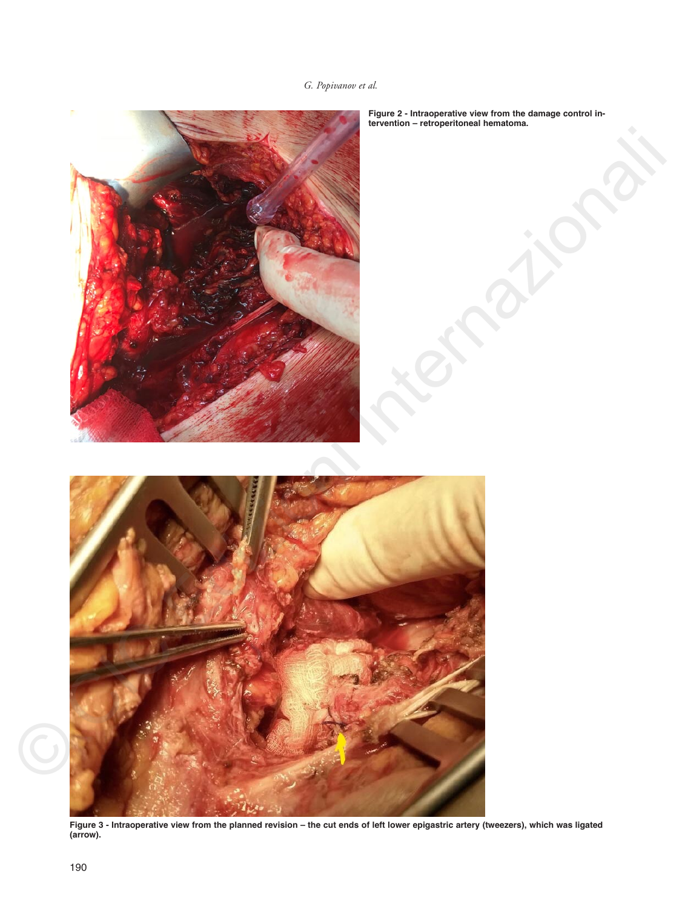## *G. Popivanov et al.*



**Figure 2 - Intraoperative view from the damage control intervention – retroperitoneal hematoma.**

**Figure 3 - Intraoperative view from the planned revision – the cut ends of left lower epigastric artery (tweezers), which was ligated (arrow).**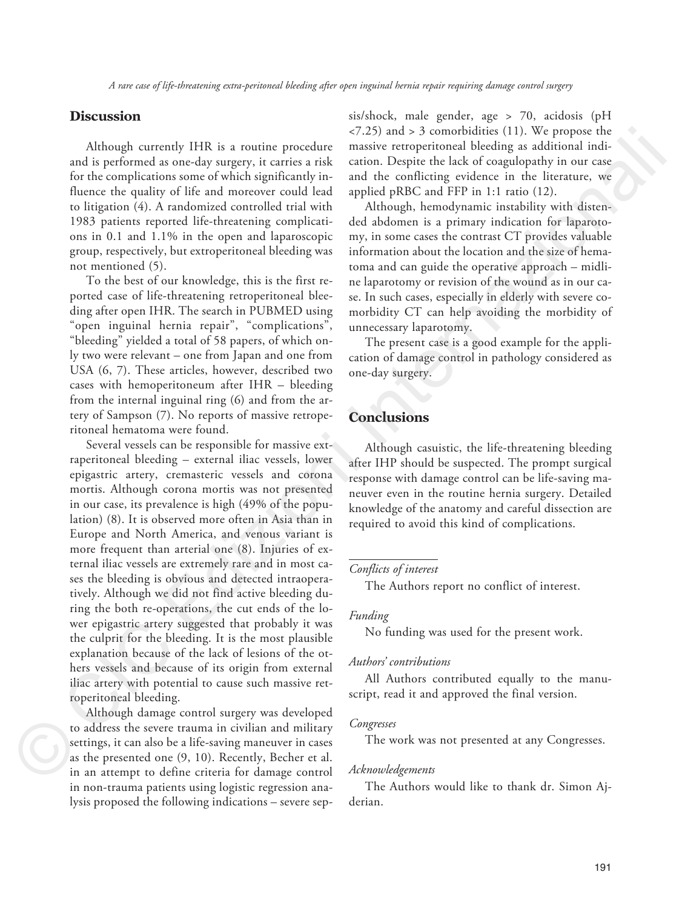### **Discussion**

Although currently IHR is a routine procedure and is performed as one-day surgery, it carries a risk for the complications some of which significantly influence the quality of life and moreover could lead to litigation (4). A randomized controlled trial with 1983 patients reported life-threatening complications in 0.1 and 1.1% in the open and laparoscopic group, respectively, but extroperitoneal bleeding was not mentioned (5).

To the best of our knowledge, this is the first reported case of life-threatening retroperitoneal bleeding after open IHR. The search in PUBMED using "open inguinal hernia repair", "complications", "bleeding" yielded a total of 58 papers, of which only two were relevant – one from Japan and one from USA (6, 7). These articles, however, described two cases with hemoperitoneum after IHR – bleeding from the internal inguinal ring (6) and from the artery of Sampson (7). No reports of massive retroperitoneal hematoma were found.

Several vessels can be responsible for massive extraperitoneal bleeding – external iliac vessels, lower epigastric artery, cremasteric vessels and corona mortis. Although corona mortis was not presented in our case, its prevalence is high (49% of the population) (8). It is observed more often in Asia than in Europe and North America, and venous variant is more frequent than arterial one (8). Injuries of external iliac vessels are extremely rare and in most cases the bleeding is obvious and detected intraoperatively. Although we did not find active bleeding during the both re-operations, the cut ends of the lower epigastric artery suggested that probably it was the culprit for the bleeding. It is the most plausible explanation because of the lack of lesions of the others vessels and because of its origin from external iliac artery with potential to cause such massive retroperitoneal bleeding. Although carrendy IHR is a routine procedure  $\pi$ 230 and 3 5 connobidies (11). We propose the same and procedure in the complication in the complication is a forest<br>for the complications some of which significantly in - a

Although damage control surgery was developed to address the severe trauma in civilian and military settings, it can also be a life-saving maneuver in cases as the presented one (9, 10). Recently, Becher et al. in an attempt to define criteria for damage control in non-trauma patients using logistic regression analysis proposed the following indications – severe sep-The Authors was developed<br>to address the severe trauma in civilian and military<br>settings, it can also be a life-saving maneuver in cases<br>as the presented one (9, 10). Recently, Becher et al.<br>in an attempt to define criteri

sis/shock, male gender, age > 70, acidosis (pH  $\langle 7.25 \rangle$  and  $> 3$  comorbidities (11). We propose the massive retroperitoneal bleeding as additional indication. Despite the lack of coagulopathy in our case and the conflicting evidence in the literature, we applied pRBC and FFP in 1:1 ratio (12).

Although, hemodynamic instability with distended abdomen is a primary indication for laparotomy, in some cases the contrast CT provides valuable information about the location and the size of hematoma and can guide the operative approach – midline laparotomy or revision of the wound as in our case. In such cases, especially in elderly with severe comorbidity CT can help avoiding the morbidity of unnecessary laparotomy.

The present case is a good example for the application of damage control in pathology considered as one-day surgery.

### **Conclusions**

Although casuistic, the life-threatening bleeding after IHP should be suspected. The prompt surgical response with damage control can be life-saving maneuver even in the routine hernia surgery. Detailed knowledge of the anatomy and careful dissection are required to avoid this kind of complications.

#### *Conflicts of interest*

The Authors report no conflict of interest.

#### *Funding*

No funding was used for the present work.

#### *Authors' contributions*

All Authors contributed equally to the manuscript, read it and approved the final version.

#### *Congresses*

The work was not presented at any Congresses.

#### *Acknowledgements*

derian.